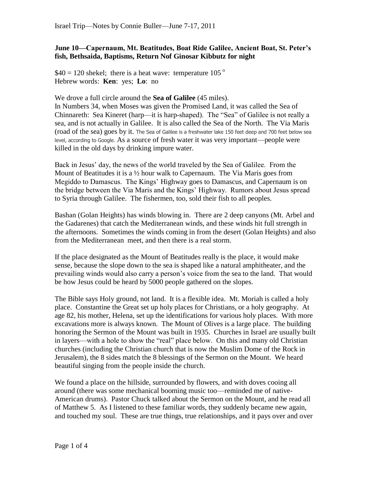## **June 10—Capernaum, Mt. Beatitudes, Boat Ride Galilee, Ancient Boat, St. Peter's fish, Bethsaida, Baptisms, Return Nof Ginosar Kibbutz for night**

 $$40 = 120$  shekel; there is a heat wave: temperature 105<sup>o</sup> Hebrew words: **Ken**: yes; **Lo**: no

We drove a full circle around the **Sea of Galilee** (45 miles).

In Numbers 34, when Moses was given the Promised Land, it was called the Sea of Chinnareth: Sea Kineret (harp—it is harp-shaped). The "Sea" of Galilee is not really a sea, and is not actually in Galilee. It is also called the Sea of the North. The Via Maris (road of the sea) goes by it. The Sea of Galilee is a freshwater lake 150 feet deep and 700 feet below sea level, according to Google. As a source of fresh water it was very important—people were killed in the old days by drinking impure water.

Back in Jesus' day, the news of the world traveled by the Sea of Galilee. From the Mount of Beatitudes it is a  $\frac{1}{2}$  hour walk to Capernaum. The Via Maris goes from Megiddo to Damascus. The Kings' Highway goes to Damascus, and Capernaum is on the bridge between the Via Maris and the Kings' Highway. Rumors about Jesus spread to Syria through Galilee. The fishermen, too, sold their fish to all peoples.

Bashan (Golan Heights) has winds blowing in. There are 2 deep canyons (Mt. Arbel and the Gadarenes) that catch the Mediterranean winds, and these winds hit full strength in the afternoons. Sometimes the winds coming in from the desert (Golan Heights) and also from the Mediterranean meet, and then there is a real storm.

If the place designated as the Mount of Beatitudes really is the place, it would make sense, because the slope down to the sea is shaped like a natural amphitheater, and the prevailing winds would also carry a person's voice from the sea to the land. That would be how Jesus could be heard by 5000 people gathered on the slopes.

The Bible says Holy ground, not land. It is a flexible idea. Mt. Moriah is called a holy place. Constantine the Great set up holy places for Christians, or a holy geography. At age 82, his mother, Helena, set up the identifications for various holy places. With more excavations more is always known. The Mount of Olives is a large place. The building honoring the Sermon of the Mount was built in 1935. Churches in Israel are usually built in layers—with a hole to show the "real" place below. On this and many old Christian churches (including the Christian church that is now the Muslim Dome of the Rock in Jerusalem), the 8 sides match the 8 blessings of the Sermon on the Mount. We heard beautiful singing from the people inside the church.

We found a place on the hillside, surrounded by flowers, and with doves cooing all around (there was some mechanical booming music too—reminded me of native-American drums). Pastor Chuck talked about the Sermon on the Mount, and he read all of Matthew 5. As I listened to these familiar words, they suddenly became new again, and touched my soul. These are true things, true relationships, and it pays over and over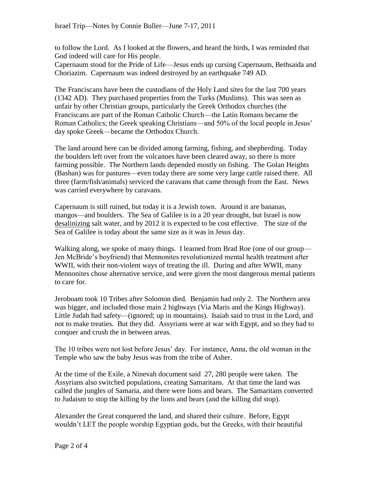to follow the Lord. As I looked at the flowers, and heard the birds, I was reminded that God indeed will care for His people.

Capernaum stood for the Pride of Life—Jesus ends up cursing Capernaum, Bethsaida and Choriazim. Capernaum was indeed destroyed by an earthquake 749 AD.

The Franciscans have been the custodians of the Holy Land sites for the last 700 years (1342 AD). They purchased properties from the Turks (Muslims). This was seen as unfair by other Christian groups, particularly the Greek Orthodox churches (the Franciscans are part of the Roman Catholic Church—the Latin Romans became the Roman Catholics; the Greek speaking Christians—and 50% of the local people in Jesus' day spoke Greek—became the Orthodox Church.

The land around here can be divided among farming, fishing, and shepherding. Today the boulders left over from the volcanoes have been cleared away, so there is more farming possible. The Northern lands depended mostly on fishing. The Golan Heights (Bashan) was for pastures—even today there are some very large cattle raised there. All three (farm/fish/animals) serviced the caravans that came through from the East. News was carried everywhere by caravans.

Capernaum is still ruined, but today it is a Jewish town. Around it are bananas, mangos—and boulders. The Sea of Galilee is in a 20 year drought, but Israel is now desalinizing salt water, and by 2012 it is expected to be cost effective. The size of the Sea of Galilee is today about the same size as it was in Jesus day.

Walking along, we spoke of many things. I learned from Brad Roe (one of our group— Jen McBride's boyfriend) that Mennonites revolutionized mental health treatment after WWII, with their non-violent ways of treating the ill. During and after WWII, many Mennonites chose alternative service, and were given the most dangerous mental patients to care for.

Jeroboam took 10 Tribes after Solomon died. Benjamin had only 2. The Northern area was bigger, and included those main 2 highways (Via Maris and the Kings Highway). Little Judah had safety—(ignored; up in mountains). Isaiah said to trust in the Lord, and not to make treaties. But they did. Assyrians were at war with Egypt, and so they had to conquer and crush the in between areas.

The 10 tribes were not lost before Jesus' day. For instance, Anna, the old woman in the Temple who saw the baby Jesus was from the tribe of Asher.

At the time of the Exile, a Ninevah document said 27, 280 people were taken. The Assyrians also switched populations, creating Samaritans. At that time the land was called the jungles of Samaria, and there were lions and bears. The Samaritans converted to Judaism to stop the killing by the lions and bears (and the killing did stop).

Alexander the Great conquered the land, and shared their culture. Before, Egypt wouldn't LET the people worship Egyptian gods, but the Greeks, with their beautiful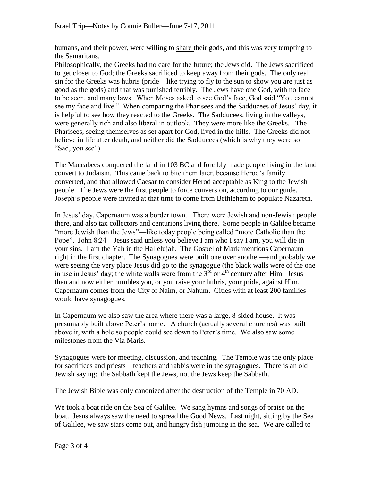humans, and their power, were willing to share their gods, and this was very tempting to the Samaritans.

Philosophically, the Greeks had no care for the future; the Jews did. The Jews sacrificed to get closer to God; the Greeks sacrificed to keep away from their gods. The only real sin for the Greeks was hubris (pride—like trying to fly to the sun to show you are just as good as the gods) and that was punished terribly. The Jews have one God, with no face to be seen, and many laws. When Moses asked to see God's face, God said "You cannot see my face and live." When comparing the Pharisees and the Sadducees of Jesus' day, it is helpful to see how they reacted to the Greeks. The Sadducees, living in the valleys, were generally rich and also liberal in outlook. They were more like the Greeks. The Pharisees, seeing themselves as set apart for God, lived in the hills. The Greeks did not believe in life after death, and neither did the Sadducees (which is why they were so "Sad, you see").

The Maccabees conquered the land in 103 BC and forcibly made people living in the land convert to Judaism. This came back to bite them later, because Herod's family converted, and that allowed Caesar to consider Herod acceptable as King to the Jewish people. The Jews were the first people to force conversion, according to our guide. Joseph's people were invited at that time to come from Bethlehem to populate Nazareth.

In Jesus' day, Capernaum was a border town. There were Jewish and non-Jewish people there, and also tax collectors and centurions living there. Some people in Galilee became "more Jewish than the Jews"—like today people being called "more Catholic than the Pope". John 8:24—Jesus said unless you believe I am who I say I am, you will die in your sins. I am the Yah in the Hallelujah. The Gospel of Mark mentions Capernaum right in the first chapter. The Synagogues were built one over another—and probably we were seeing the very place Jesus did go to the synagogue (the black walls were of the one in use in Jesus' day; the white walls were from the  $3<sup>rd</sup>$  or  $4<sup>th</sup>$  century after Him. Jesus then and now either humbles you, or you raise your hubris, your pride, against Him. Capernaum comes from the City of Naim, or Nahum. Cities with at least 200 families would have synagogues.

In Capernaum we also saw the area where there was a large, 8-sided house. It was presumably built above Peter's home. A church (actually several churches) was built above it, with a hole so people could see down to Peter's time. We also saw some milestones from the Via Maris.

Synagogues were for meeting, discussion, and teaching. The Temple was the only place for sacrifices and priests—teachers and rabbis were in the synagogues. There is an old Jewish saying: the Sabbath kept the Jews, not the Jews keep the Sabbath.

The Jewish Bible was only canonized after the destruction of the Temple in 70 AD.

We took a boat ride on the Sea of Galilee. We sang hymns and songs of praise on the boat. Jesus always saw the need to spread the Good News. Last night, sitting by the Sea of Galilee, we saw stars come out, and hungry fish jumping in the sea. We are called to